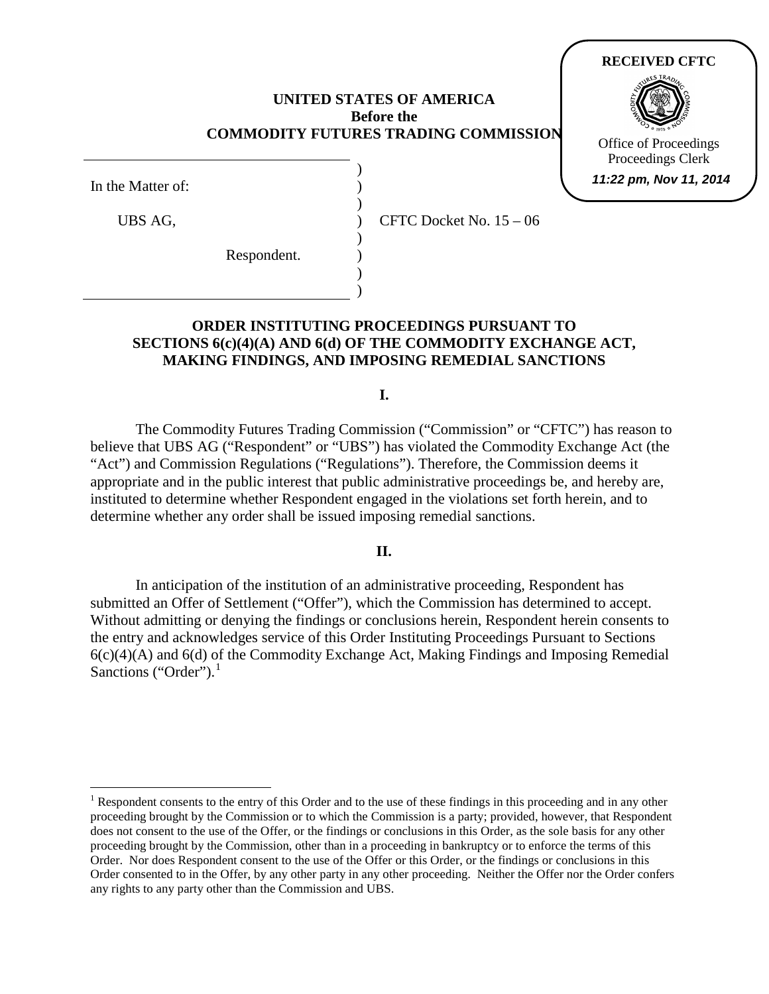### **UNITED STATES OF AMERICA Before the COMMODITY FUTURES TRADING COMMISSION**

) ) ) ) ) ) ) )

In the Matter of:

UBS AG,

Respondent.

CFTC Docket No. 15 – 06

# **ORDER INSTITUTING PROCEEDINGS PURSUANT TO SECTIONS 6(c)(4)(A) AND 6(d) OF THE COMMODITY EXCHANGE ACT, MAKING FINDINGS, AND IMPOSING REMEDIAL SANCTIONS**

**I.**

The Commodity Futures Trading Commission ("Commission" or "CFTC") has reason to believe that UBS AG ("Respondent" or "UBS") has violated the Commodity Exchange Act (the "Act") and Commission Regulations ("Regulations"). Therefore, the Commission deems it appropriate and in the public interest that public administrative proceedings be, and hereby are, instituted to determine whether Respondent engaged in the violations set forth herein, and to determine whether any order shall be issued imposing remedial sanctions.

### **II.**

In anticipation of the institution of an administrative proceeding, Respondent has submitted an Offer of Settlement ("Offer"), which the Commission has determined to accept. Without admitting or denying the findings or conclusions herein, Respondent herein consents to the entry and acknowledges service of this Order Instituting Proceedings Pursuant to Sections  $6(c)(4)(A)$  and  $6(d)$  of the Commodity Exchange Act, Making Findings and Imposing Remedial Sanctions ("Order"). $<sup>1</sup>$  $<sup>1</sup>$  $<sup>1</sup>$ </sup>

**RECEIVED CFTC**

Office of Proceedings Proceedings Clerk **11:22 pm, Nov 11, 2014**

<span id="page-0-0"></span><sup>&</sup>lt;sup>1</sup> Respondent consents to the entry of this Order and to the use of these findings in this proceeding and in any other proceeding brought by the Commission or to which the Commission is a party; provided, however, that Respondent does not consent to the use of the Offer*,* or the findings or conclusions in this Order, as the sole basis for any other proceeding brought by the Commission, other than in a proceeding in bankruptcy or to enforce the terms of this Order. Nor does Respondent consent to the use of the Offer or this Order, or the findings or conclusions in this Order consented to in the Offer, by any other party in any other proceeding. Neither the Offer nor the Order confers any rights to any party other than the Commission and UBS.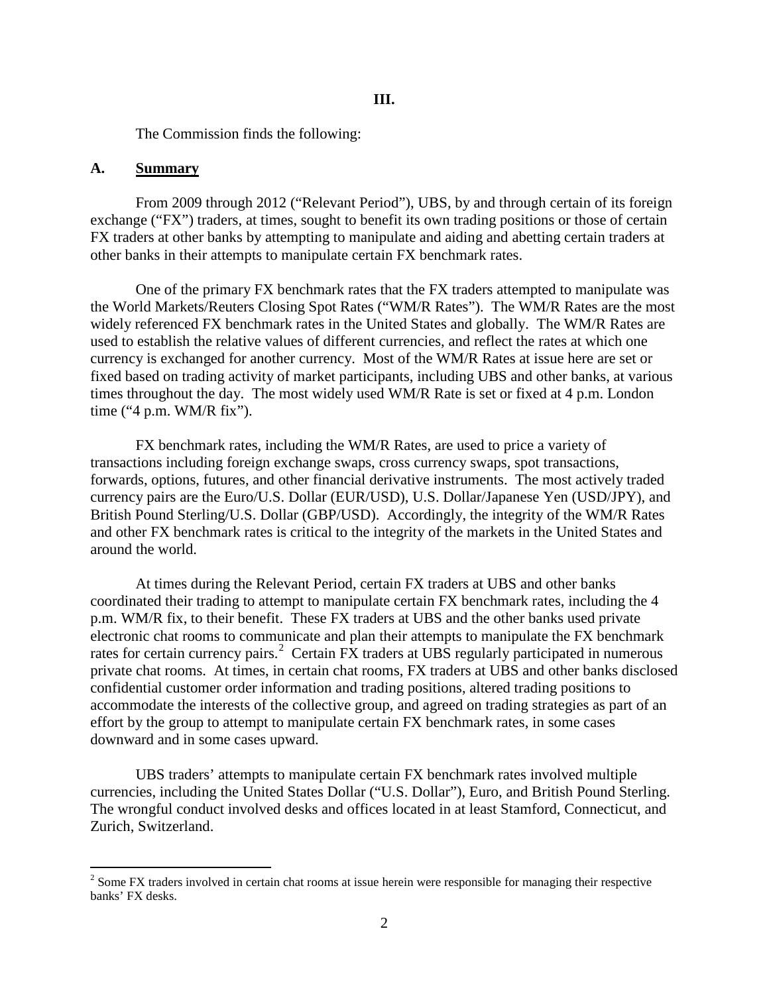The Commission finds the following:

#### **A. Summary**

From 2009 through 2012 ("Relevant Period"), UBS, by and through certain of its foreign exchange ("FX") traders, at times, sought to benefit its own trading positions or those of certain FX traders at other banks by attempting to manipulate and aiding and abetting certain traders at other banks in their attempts to manipulate certain FX benchmark rates.

One of the primary FX benchmark rates that the FX traders attempted to manipulate was the World Markets/Reuters Closing Spot Rates ("WM/R Rates"). The WM/R Rates are the most widely referenced FX benchmark rates in the United States and globally. The WM/R Rates are used to establish the relative values of different currencies, and reflect the rates at which one currency is exchanged for another currency. Most of the WM/R Rates at issue here are set or fixed based on trading activity of market participants, including UBS and other banks, at various times throughout the day. The most widely used WM/R Rate is set or fixed at 4 p.m. London time ("4 p.m. WM/R fix").

FX benchmark rates, including the WM/R Rates, are used to price a variety of transactions including foreign exchange swaps, cross currency swaps, spot transactions, forwards, options, futures, and other financial derivative instruments. The most actively traded currency pairs are the Euro/U.S. Dollar (EUR/USD), U.S. Dollar/Japanese Yen (USD/JPY), and British Pound Sterling/U.S. Dollar (GBP/USD). Accordingly, the integrity of the WM/R Rates and other FX benchmark rates is critical to the integrity of the markets in the United States and around the world.

At times during the Relevant Period, certain FX traders at UBS and other banks coordinated their trading to attempt to manipulate certain FX benchmark rates, including the 4 p.m. WM/R fix, to their benefit. These FX traders at UBS and the other banks used private electronic chat rooms to communicate and plan their attempts to manipulate the FX benchmark rates for certain currency pairs.<sup>[2](#page-1-0)</sup> Certain FX traders at UBS regularly participated in numerous private chat rooms. At times, in certain chat rooms, FX traders at UBS and other banks disclosed confidential customer order information and trading positions, altered trading positions to accommodate the interests of the collective group, and agreed on trading strategies as part of an effort by the group to attempt to manipulate certain FX benchmark rates, in some cases downward and in some cases upward.

UBS traders' attempts to manipulate certain FX benchmark rates involved multiple currencies, including the United States Dollar ("U.S. Dollar"), Euro, and British Pound Sterling. The wrongful conduct involved desks and offices located in at least Stamford, Connecticut, and Zurich, Switzerland.

<span id="page-1-0"></span><sup>&</sup>lt;sup>2</sup> Some FX traders involved in certain chat rooms at issue herein were responsible for managing their respective banks' FX desks.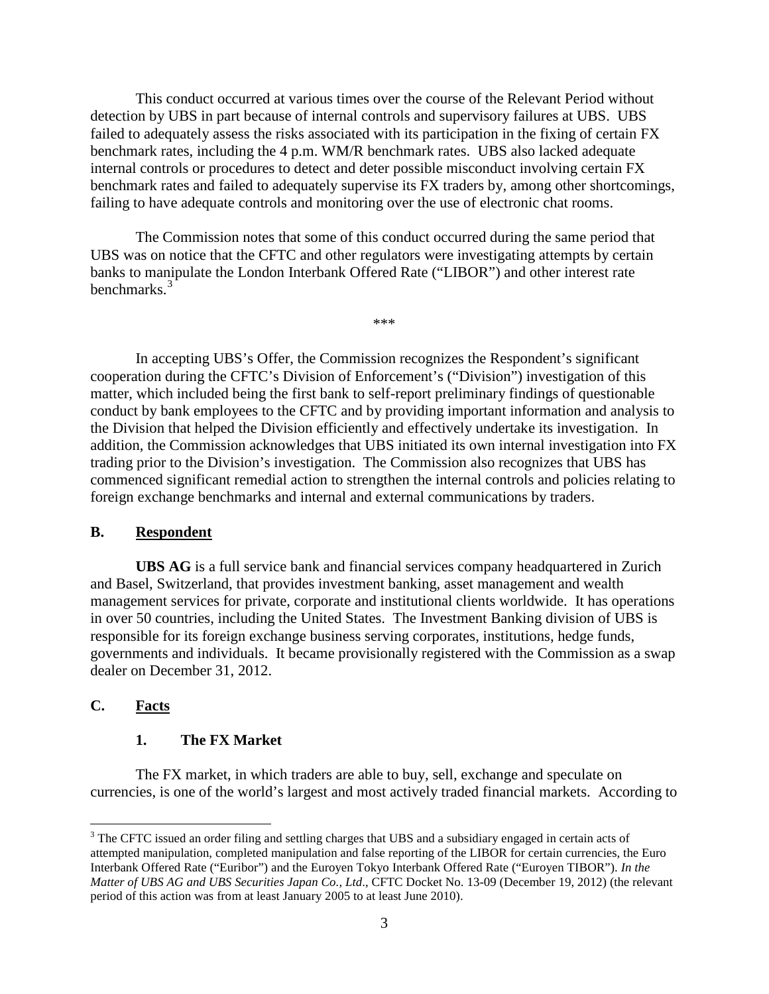This conduct occurred at various times over the course of the Relevant Period without detection by UBS in part because of internal controls and supervisory failures at UBS. UBS failed to adequately assess the risks associated with its participation in the fixing of certain FX benchmark rates, including the 4 p.m. WM/R benchmark rates. UBS also lacked adequate internal controls or procedures to detect and deter possible misconduct involving certain FX benchmark rates and failed to adequately supervise its FX traders by, among other shortcomings, failing to have adequate controls and monitoring over the use of electronic chat rooms.

The Commission notes that some of this conduct occurred during the same period that UBS was on notice that the CFTC and other regulators were investigating attempts by certain banks to manipulate the London Interbank Offered Rate ("LIBOR") and other interest rate benchmarks.<sup>[3](#page-2-0)</sup>

In accepting UBS's Offer, the Commission recognizes the Respondent's significant cooperation during the CFTC's Division of Enforcement's ("Division") investigation of this matter, which included being the first bank to self-report preliminary findings of questionable conduct by bank employees to the CFTC and by providing important information and analysis to the Division that helped the Division efficiently and effectively undertake its investigation. In addition, the Commission acknowledges that UBS initiated its own internal investigation into FX trading prior to the Division's investigation. The Commission also recognizes that UBS has commenced significant remedial action to strengthen the internal controls and policies relating to foreign exchange benchmarks and internal and external communications by traders.

\*\*\*

#### **B. Respondent**

**UBS AG** is a full service bank and financial services company headquartered in Zurich and Basel, Switzerland, that provides investment banking, asset management and wealth management services for private, corporate and institutional clients worldwide. It has operations in over 50 countries, including the United States. The Investment Banking division of UBS is responsible for its foreign exchange business serving corporates, institutions, hedge funds, governments and individuals. It became provisionally registered with the Commission as a swap dealer on December 31, 2012.

#### **C. Facts**

#### **1. The FX Market**

The FX market, in which traders are able to buy, sell, exchange and speculate on currencies, is one of the world's largest and most actively traded financial markets. According to

<span id="page-2-0"></span><sup>&</sup>lt;sup>3</sup> The CFTC issued an order filing and settling charges that UBS and a subsidiary engaged in certain acts of attempted manipulation, completed manipulation and false reporting of the LIBOR for certain currencies, the Euro Interbank Offered Rate ("Euribor") and the Euroyen Tokyo Interbank Offered Rate ("Euroyen TIBOR"). *In the Matter of UBS AG and UBS Securities Japan Co., Ltd*., CFTC Docket No. 13-09 (December 19, 2012) (the relevant period of this action was from at least January 2005 to at least June 2010).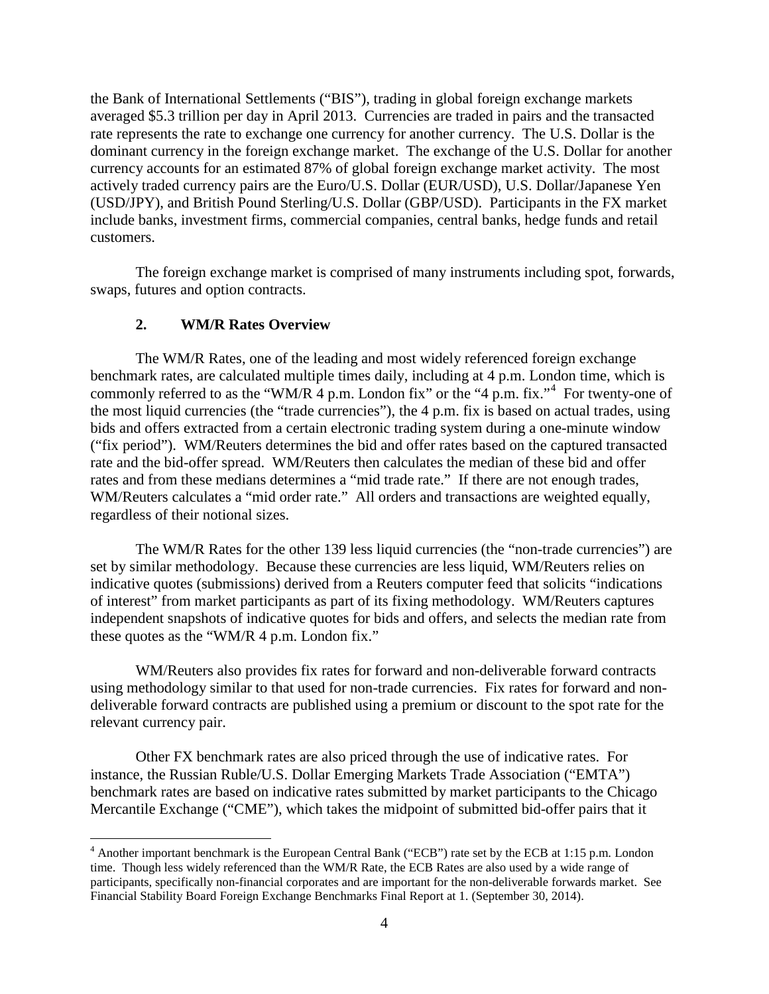the Bank of International Settlements ("BIS"), trading in global foreign exchange markets averaged \$5.3 trillion per day in April 2013. Currencies are traded in pairs and the transacted rate represents the rate to exchange one currency for another currency. The U.S. Dollar is the dominant currency in the foreign exchange market. The exchange of the U.S. Dollar for another currency accounts for an estimated 87% of global foreign exchange market activity. The most actively traded currency pairs are the Euro/U.S. Dollar (EUR/USD), U.S. Dollar/Japanese Yen (USD/JPY), and British Pound Sterling/U.S. Dollar (GBP/USD). Participants in the FX market include banks, investment firms, commercial companies, central banks, hedge funds and retail customers.

The foreign exchange market is comprised of many instruments including spot, forwards, swaps, futures and option contracts.

## **2. WM/R Rates Overview**

The WM/R Rates, one of the leading and most widely referenced foreign exchange benchmark rates, are calculated multiple times daily, including at 4 p.m. London time, which is commonly referred to as the "WM/R  $\overline{4}$  $\overline{4}$  $\overline{4}$  p.m. London fix" or the "4 p.m. fix." For twenty-one of the most liquid currencies (the "trade currencies"), the 4 p.m. fix is based on actual trades, using bids and offers extracted from a certain electronic trading system during a one-minute window ("fix period"). WM/Reuters determines the bid and offer rates based on the captured transacted rate and the bid-offer spread. WM/Reuters then calculates the median of these bid and offer rates and from these medians determines a "mid trade rate." If there are not enough trades, WM/Reuters calculates a "mid order rate." All orders and transactions are weighted equally, regardless of their notional sizes.

The WM/R Rates for the other 139 less liquid currencies (the "non-trade currencies") are set by similar methodology. Because these currencies are less liquid, WM/Reuters relies on indicative quotes (submissions) derived from a Reuters computer feed that solicits "indications of interest" from market participants as part of its fixing methodology. WM/Reuters captures independent snapshots of indicative quotes for bids and offers, and selects the median rate from these quotes as the "WM/R 4 p.m. London fix."

WM/Reuters also provides fix rates for forward and non-deliverable forward contracts using methodology similar to that used for non-trade currencies. Fix rates for forward and nondeliverable forward contracts are published using a premium or discount to the spot rate for the relevant currency pair.

Other FX benchmark rates are also priced through the use of indicative rates. For instance, the Russian Ruble/U.S. Dollar Emerging Markets Trade Association ("EMTA") benchmark rates are based on indicative rates submitted by market participants to the Chicago Mercantile Exchange ("CME"), which takes the midpoint of submitted bid-offer pairs that it

<span id="page-3-0"></span><sup>&</sup>lt;sup>4</sup> Another important benchmark is the European Central Bank ("ECB") rate set by the ECB at 1:15 p.m. London time. Though less widely referenced than the WM/R Rate, the ECB Rates are also used by a wide range of participants, specifically non-financial corporates and are important for the non-deliverable forwards market. See Financial Stability Board Foreign Exchange Benchmarks Final Report at 1. (September 30, 2014).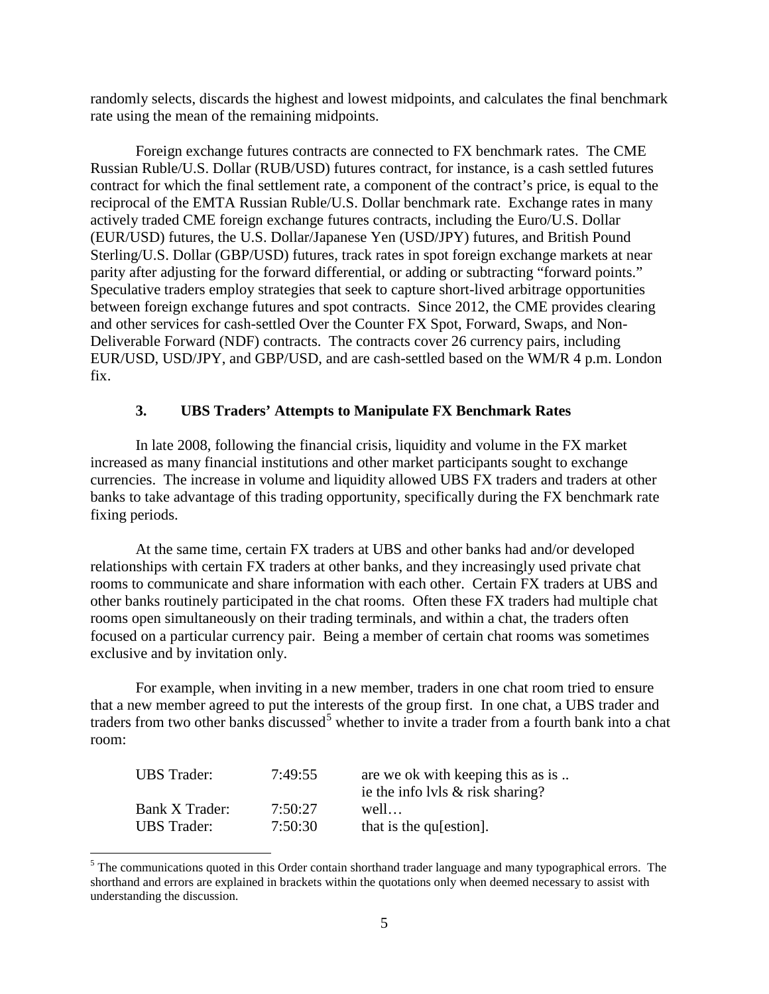randomly selects, discards the highest and lowest midpoints, and calculates the final benchmark rate using the mean of the remaining midpoints.

Foreign exchange futures contracts are connected to FX benchmark rates. The CME Russian Ruble/U.S. Dollar (RUB/USD) futures contract, for instance, is a cash settled futures contract for which the final settlement rate, a component of the contract's price, is equal to the reciprocal of the EMTA Russian Ruble/U.S. Dollar benchmark rate. Exchange rates in many actively traded CME foreign exchange futures contracts, including the Euro/U.S. Dollar (EUR/USD) futures, the U.S. Dollar/Japanese Yen (USD/JPY) futures, and British Pound Sterling/U.S. Dollar (GBP/USD) futures, track rates in spot foreign exchange markets at near parity after adjusting for the forward differential, or adding or subtracting "forward points." Speculative traders employ strategies that seek to capture short-lived arbitrage opportunities between foreign exchange futures and spot contracts. Since 2012, the CME provides clearing and other services for cash-settled Over the Counter FX Spot, Forward, Swaps, and Non-Deliverable Forward (NDF) contracts. The contracts cover 26 currency pairs, including EUR/USD, USD/JPY, and GBP/USD, and are cash-settled based on the WM/R 4 p.m. London fix.

## **3. UBS Traders' Attempts to Manipulate FX Benchmark Rates**

In late 2008, following the financial crisis, liquidity and volume in the FX market increased as many financial institutions and other market participants sought to exchange currencies. The increase in volume and liquidity allowed UBS FX traders and traders at other banks to take advantage of this trading opportunity, specifically during the FX benchmark rate fixing periods.

At the same time, certain FX traders at UBS and other banks had and/or developed relationships with certain FX traders at other banks, and they increasingly used private chat rooms to communicate and share information with each other. Certain FX traders at UBS and other banks routinely participated in the chat rooms. Often these FX traders had multiple chat rooms open simultaneously on their trading terminals, and within a chat, the traders often focused on a particular currency pair. Being a member of certain chat rooms was sometimes exclusive and by invitation only.

For example, when inviting in a new member, traders in one chat room tried to ensure that a new member agreed to put the interests of the group first. In one chat, a UBS trader and traders from two other banks discussed<sup>[5](#page-4-0)</sup> whether to invite a trader from a fourth bank into a chat room:

| <b>UBS</b> Trader: | 7:49:55 | are we ok with keeping this as is   |
|--------------------|---------|-------------------------------------|
|                    |         | ie the info lyls $\&$ risk sharing? |
| Bank X Trader:     | 7:50:27 | well                                |
| <b>UBS</b> Trader: | 7:50:30 | that is the qu[estion].             |

<span id="page-4-0"></span><sup>&</sup>lt;sup>5</sup> The communications quoted in this Order contain shorthand trader language and many typographical errors. The shorthand and errors are explained in brackets within the quotations only when deemed necessary to assist with understanding the discussion.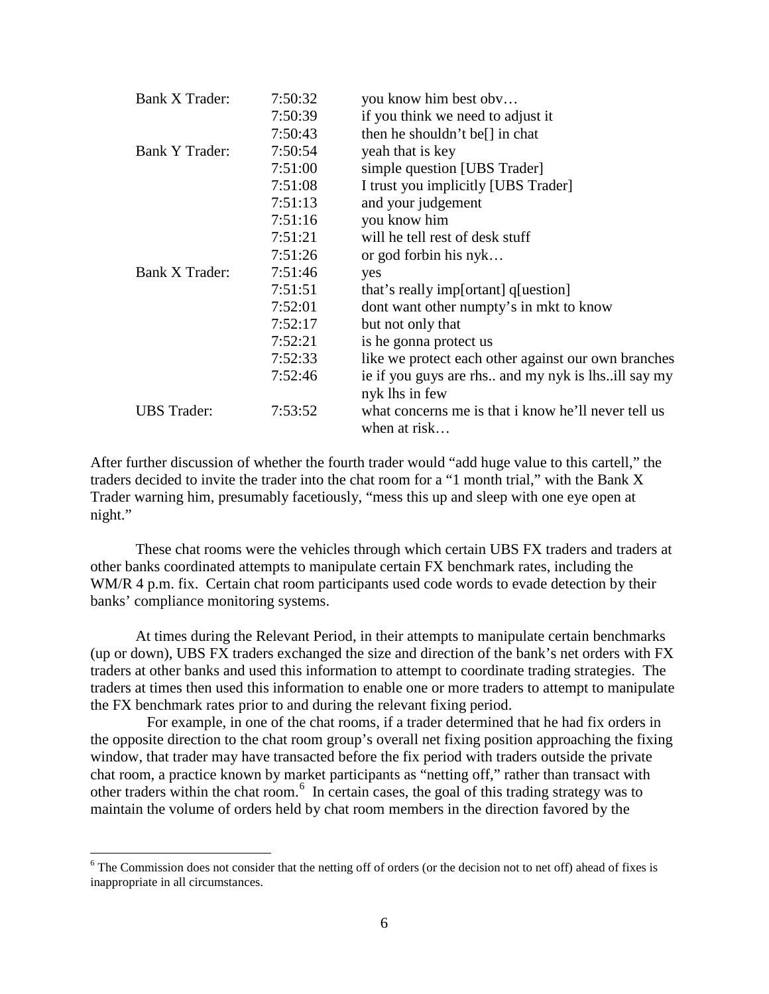| Bank X Trader:        | 7:50:32 | you know him best obv                                                |
|-----------------------|---------|----------------------------------------------------------------------|
|                       | 7:50:39 | if you think we need to adjust it                                    |
|                       | 7:50:43 | then he shouldn't be <sup>[]</sup> in chat                           |
| <b>Bank Y Trader:</b> | 7:50:54 | yeah that is key                                                     |
|                       | 7:51:00 | simple question [UBS Trader]                                         |
|                       | 7:51:08 | I trust you implicitly [UBS Trader]                                  |
|                       | 7:51:13 | and your judgement                                                   |
|                       | 7:51:16 | you know him                                                         |
|                       | 7:51:21 | will be tell rest of desk stuff                                      |
|                       | 7:51:26 | or god forbin his nyk                                                |
| Bank X Trader:        | 7:51:46 | yes                                                                  |
|                       | 7:51:51 | that's really imp[ortant] q[uestion]                                 |
|                       | 7:52:01 | dont want other numpty's in mkt to know                              |
|                       | 7:52:17 | but not only that                                                    |
|                       | 7:52:21 | is he gonna protect us                                               |
|                       | 7:52:33 | like we protect each other against our own branches                  |
|                       | 7:52:46 | ie if you guys are rhs and my nyk is lhsill say my<br>nyk lhs in few |
| <b>UBS</b> Trader:    | 7:53:52 | what concerns me is that i know he'll never tell us<br>when at risk  |

After further discussion of whether the fourth trader would "add huge value to this cartell," the traders decided to invite the trader into the chat room for a "1 month trial," with the Bank X Trader warning him, presumably facetiously, "mess this up and sleep with one eye open at night."

These chat rooms were the vehicles through which certain UBS FX traders and traders at other banks coordinated attempts to manipulate certain FX benchmark rates, including the WM/R 4 p.m. fix. Certain chat room participants used code words to evade detection by their banks' compliance monitoring systems.

At times during the Relevant Period, in their attempts to manipulate certain benchmarks (up or down), UBS FX traders exchanged the size and direction of the bank's net orders with FX traders at other banks and used this information to attempt to coordinate trading strategies. The traders at times then used this information to enable one or more traders to attempt to manipulate the FX benchmark rates prior to and during the relevant fixing period.

 For example, in one of the chat rooms, if a trader determined that he had fix orders in the opposite direction to the chat room group's overall net fixing position approaching the fixing window, that trader may have transacted before the fix period with traders outside the private chat room, a practice known by market participants as "netting off," rather than transact with other traders within the chat room.[6](#page-5-0) In certain cases, the goal of this trading strategy was to maintain the volume of orders held by chat room members in the direction favored by the

<span id="page-5-0"></span><sup>&</sup>lt;sup>6</sup> The Commission does not consider that the netting off of orders (or the decision not to net off) ahead of fixes is inappropriate in all circumstances.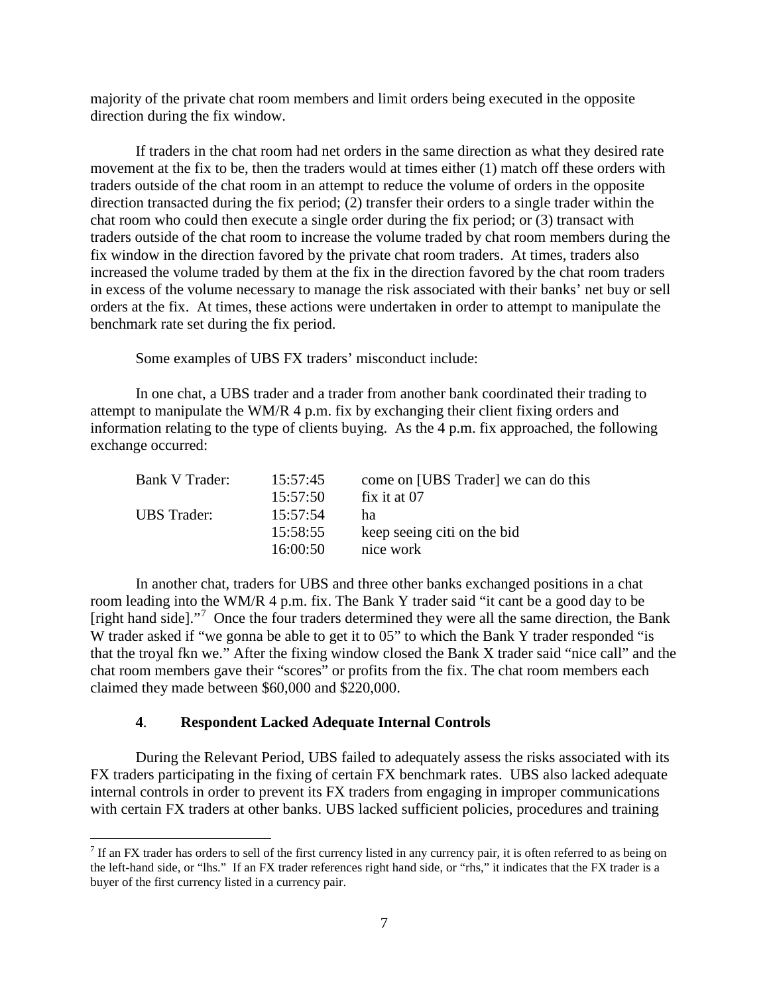majority of the private chat room members and limit orders being executed in the opposite direction during the fix window.

If traders in the chat room had net orders in the same direction as what they desired rate movement at the fix to be, then the traders would at times either (1) match off these orders with traders outside of the chat room in an attempt to reduce the volume of orders in the opposite direction transacted during the fix period; (2) transfer their orders to a single trader within the chat room who could then execute a single order during the fix period; or (3) transact with traders outside of the chat room to increase the volume traded by chat room members during the fix window in the direction favored by the private chat room traders. At times, traders also increased the volume traded by them at the fix in the direction favored by the chat room traders in excess of the volume necessary to manage the risk associated with their banks' net buy or sell orders at the fix. At times, these actions were undertaken in order to attempt to manipulate the benchmark rate set during the fix period.

Some examples of UBS FX traders' misconduct include:

In one chat, a UBS trader and a trader from another bank coordinated their trading to attempt to manipulate the WM/R 4 p.m. fix by exchanging their client fixing orders and information relating to the type of clients buying. As the 4 p.m. fix approached, the following exchange occurred:

| Bank V Trader:     | 15:57:45 | come on [UBS Trader] we can do this |
|--------------------|----------|-------------------------------------|
|                    | 15:57:50 | fix it at 07                        |
| <b>UBS</b> Trader: | 15:57:54 | ha                                  |
|                    | 15:58:55 | keep seeing citi on the bid         |
|                    | 16:00:50 | nice work                           |

In another chat, traders for UBS and three other banks exchanged positions in a chat room leading into the WM/R 4 p.m. fix. The Bank Y trader said "it cant be a good day to be [right hand side]."<sup>[7](#page-6-0)</sup> Once the four traders determined they were all the same direction, the Bank W trader asked if "we gonna be able to get it to 05" to which the Bank Y trader responded "is that the troyal fkn we." After the fixing window closed the Bank X trader said "nice call" and the chat room members gave their "scores" or profits from the fix. The chat room members each claimed they made between \$60,000 and \$220,000.

## **4**. **Respondent Lacked Adequate Internal Controls**

During the Relevant Period, UBS failed to adequately assess the risks associated with its FX traders participating in the fixing of certain FX benchmark rates. UBS also lacked adequate internal controls in order to prevent its FX traders from engaging in improper communications with certain FX traders at other banks. UBS lacked sufficient policies, procedures and training

<span id="page-6-0"></span> $7$  If an FX trader has orders to sell of the first currency listed in any currency pair, it is often referred to as being on the left-hand side, or "lhs." If an FX trader references right hand side, or "rhs," it indicates that the FX trader is a buyer of the first currency listed in a currency pair.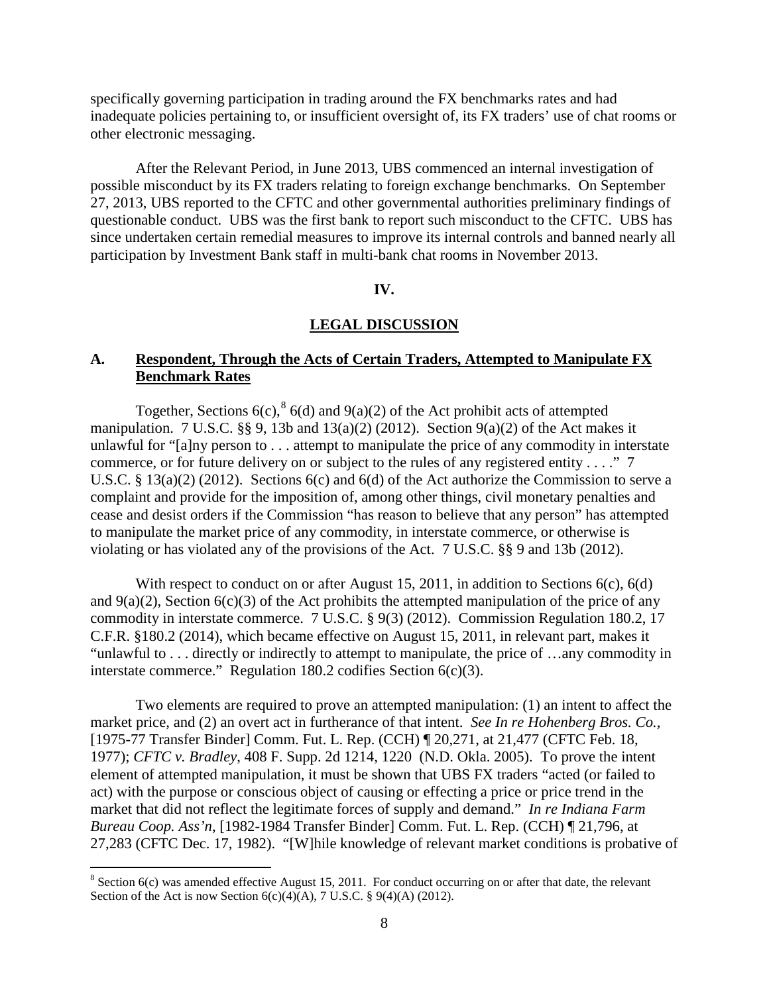specifically governing participation in trading around the FX benchmarks rates and had inadequate policies pertaining to, or insufficient oversight of, its FX traders' use of chat rooms or other electronic messaging.

After the Relevant Period, in June 2013, UBS commenced an internal investigation of possible misconduct by its FX traders relating to foreign exchange benchmarks. On September 27, 2013, UBS reported to the CFTC and other governmental authorities preliminary findings of questionable conduct. UBS was the first bank to report such misconduct to the CFTC. UBS has since undertaken certain remedial measures to improve its internal controls and banned nearly all participation by Investment Bank staff in multi-bank chat rooms in November 2013.

## **IV.**

#### **LEGAL DISCUSSION**

# **A. Respondent, Through the Acts of Certain Traders, Attempted to Manipulate FX Benchmark Rates**

Together, Sections 6(c),  $8$  6(d) and 9(a)(2) of the Act prohibit acts of attempted manipulation. 7 U.S.C.  $\S$ , 9, 13b and 13(a)(2) (2012). Section 9(a)(2) of the Act makes it unlawful for "[a]ny person to . . . attempt to manipulate the price of any commodity in interstate commerce, or for future delivery on or subject to the rules of any registered entity . . . ." 7 U.S.C. § 13(a)(2) (2012). Sections 6(c) and 6(d) of the Act authorize the Commission to serve a complaint and provide for the imposition of, among other things, civil monetary penalties and cease and desist orders if the Commission "has reason to believe that any person" has attempted to manipulate the market price of any commodity, in interstate commerce, or otherwise is violating or has violated any of the provisions of the Act. 7 U.S.C. §§ 9 and 13b (2012).

With respect to conduct on or after August 15, 2011, in addition to Sections 6(c), 6(d) and  $9(a)(2)$ , Section  $6(c)(3)$  of the Act prohibits the attempted manipulation of the price of any commodity in interstate commerce. 7 U.S.C. § 9(3) (2012). Commission Regulation 180.2, 17 C.F.R. §180.2 (2014), which became effective on August 15, 2011, in relevant part, makes it "unlawful to . . . directly or indirectly to attempt to manipulate, the price of …any commodity in interstate commerce." Regulation 180.2 codifies Section  $6(c)(3)$ .

Two elements are required to prove an attempted manipulation: (1) an intent to affect the market price, and (2) an overt act in furtherance of that intent. *See In re Hohenberg Bros. Co.,* [1975-77 Transfer Binder] Comm. Fut. L. Rep. (CCH) ¶ 20,271, at 21,477 (CFTC Feb. 18, 1977); *CFTC v. Bradley*, 408 F. Supp. 2d 1214, 1220 (N.D. Okla. 2005). To prove the intent element of attempted manipulation, it must be shown that UBS FX traders "acted (or failed to act) with the purpose or conscious object of causing or effecting a price or price trend in the market that did not reflect the legitimate forces of supply and demand." *In re Indiana Farm Bureau Coop. Ass'n*, [1982-1984 Transfer Binder] Comm. Fut. L. Rep. (CCH) ¶ 21,796, at 27,283 (CFTC Dec. 17, 1982). "[W]hile knowledge of relevant market conditions is probative of

<span id="page-7-0"></span> $8$  Section 6(c) was amended effective August 15, 2011. For conduct occurring on or after that date, the relevant Section of the Act is now Section  $6(c)(4)(A)$ , 7 U.S.C. § 9(4)(A) (2012).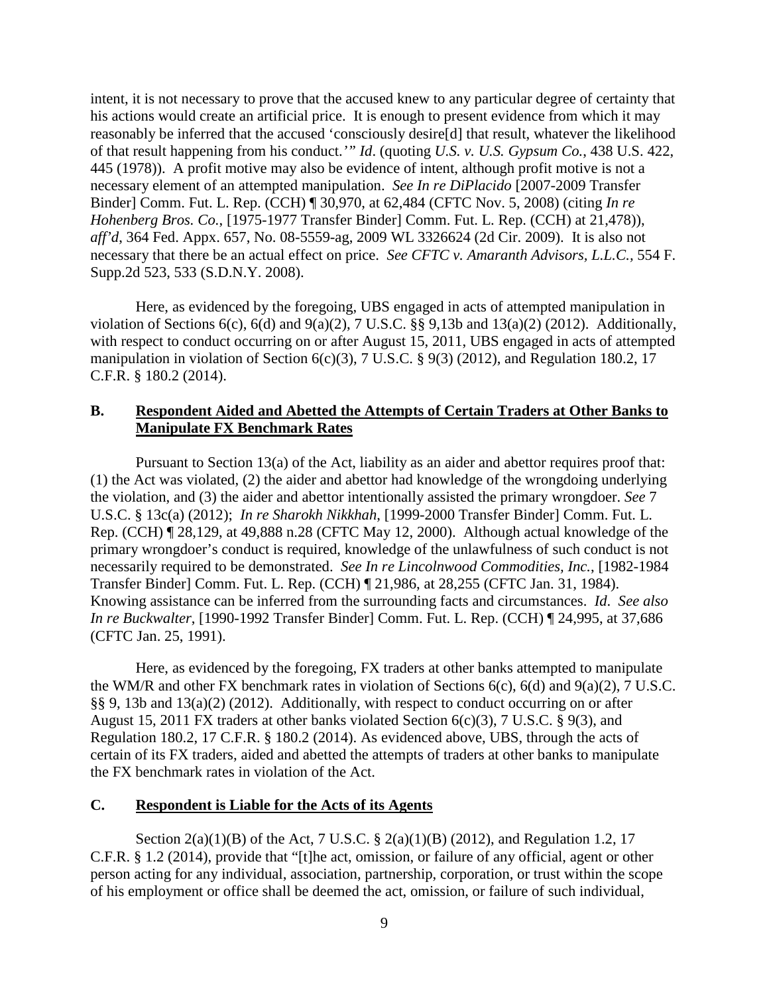intent, it is not necessary to prove that the accused knew to any particular degree of certainty that his actions would create an artificial price. It is enough to present evidence from which it may reasonably be inferred that the accused 'consciously desire[d] that result, whatever the likelihood of that result happening from his conduct.*'" Id*. (quoting *U.S. v. U.S. Gypsum Co.*, 438 U.S. 422, 445 (1978)). A profit motive may also be evidence of intent, although profit motive is not a necessary element of an attempted manipulation. *See In re DiPlacido* [2007-2009 Transfer Binder] Comm. Fut. L. Rep. (CCH) ¶ 30,970, at 62,484 (CFTC Nov. 5, 2008) (citing *In re Hohenberg Bros. Co.*, [1975-1977 Transfer Binder] Comm. Fut. L. Rep. (CCH) at 21,478)), *aff'd*, 364 Fed. Appx. 657, No. 08-5559-ag, 2009 WL 3326624 (2d Cir. 2009). It is also not necessary that there be an actual effect on price. *See CFTC v. Amaranth Advisors, L.L.C.,* 554 F. Supp.2d 523, 533 (S.D.N.Y. 2008).

Here, as evidenced by the foregoing, UBS engaged in acts of attempted manipulation in violation of Sections  $6(c)$ ,  $6(d)$  and  $9(a)(2)$ ,  $7 U.S.C.$  §§  $9,13b$  and  $13(a)(2)$  (2012). Additionally, with respect to conduct occurring on or after August 15, 2011, UBS engaged in acts of attempted manipulation in violation of Section  $6(c)(3)$ , 7 U.S.C. § 9(3) (2012), and Regulation 180.2, 17 C.F.R. § 180.2 (2014).

## **B. Respondent Aided and Abetted the Attempts of Certain Traders at Other Banks to Manipulate FX Benchmark Rates**

Pursuant to Section 13(a) of the Act, liability as an aider and abettor requires proof that: (1) the Act was violated, (2) the aider and abettor had knowledge of the wrongdoing underlying the violation, and (3) the aider and abettor intentionally assisted the primary wrongdoer. *See* 7 U.S.C. § 13c(a) (2012); *In re Sharokh Nikkhah*, [1999-2000 Transfer Binder] Comm. Fut. L. Rep. (CCH) ¶ 28,129, at 49,888 n.28 (CFTC May 12, 2000). Although actual knowledge of the primary wrongdoer's conduct is required, knowledge of the unlawfulness of such conduct is not necessarily required to be demonstrated. *See In re Lincolnwood Commodities, Inc.*, [1982-1984 Transfer Binder] Comm. Fut. L. Rep. (CCH) ¶ 21,986, at 28,255 (CFTC Jan. 31, 1984). Knowing assistance can be inferred from the surrounding facts and circumstances. *Id*. *See also In re Buckwalter*, [1990-1992 Transfer Binder] Comm. Fut. L. Rep. (CCH) ¶ 24,995, at 37,686 (CFTC Jan. 25, 1991).

Here, as evidenced by the foregoing, FX traders at other banks attempted to manipulate the WM/R and other FX benchmark rates in violation of Sections 6(c), 6(d) and 9(a)(2), 7 U.S.C. §§ 9, 13b and 13(a)(2) (2012). Additionally, with respect to conduct occurring on or after August 15, 2011 FX traders at other banks violated Section 6(c)(3), 7 U.S.C. § 9(3), and Regulation 180.2, 17 C.F.R. § 180.2 (2014). As evidenced above, UBS, through the acts of certain of its FX traders, aided and abetted the attempts of traders at other banks to manipulate the FX benchmark rates in violation of the Act.

## **C. Respondent is Liable for the Acts of its Agents**

Section 2(a)(1)(B) of the Act, 7 U.S.C. § 2(a)(1)(B) (2012), and Regulation 1.2, 17 C.F.R. § 1.2 (2014), provide that "[t]he act, omission, or failure of any official, agent or other person acting for any individual, association, partnership, corporation, or trust within the scope of his employment or office shall be deemed the act, omission, or failure of such individual,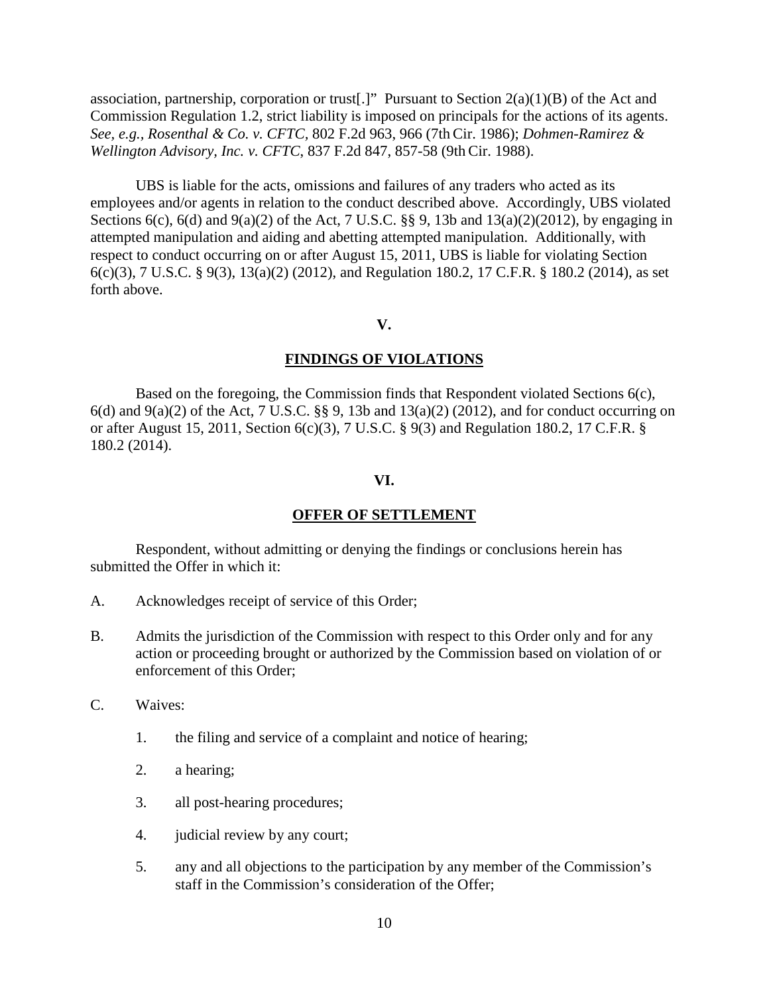association, partnership, corporation or trust[.]" Pursuant to Section  $2(a)(1)(B)$  of the Act and Commission Regulation 1.2, strict liability is imposed on principals for the actions of its agents. *See, e.g., Rosenthal & Co. v. CFTC,* 802 F.2d 963, 966 (7th Cir. 1986); *Dohmen-Ramirez & Wellington Advisory, Inc. v. CFTC*, 837 F.2d 847, 857-58 (9th Cir. 1988).

UBS is liable for the acts, omissions and failures of any traders who acted as its employees and/or agents in relation to the conduct described above. Accordingly, UBS violated Sections 6(c), 6(d) and 9(a)(2) of the Act, 7 U.S.C.  $\S$  9, 13b and 13(a)(2)(2012), by engaging in attempted manipulation and aiding and abetting attempted manipulation. Additionally, with respect to conduct occurring on or after August 15, 2011, UBS is liable for violating Section 6(c)(3), 7 U.S.C. § 9(3), 13(a)(2) (2012), and Regulation 180.2, 17 C.F.R. § 180.2 (2014), as set forth above.

**V.**

#### **FINDINGS OF VIOLATIONS**

Based on the foregoing, the Commission finds that Respondent violated Sections 6(c),  $6(d)$  and  $9(a)(2)$  of the Act, 7 U.S.C. §§ 9, 13b and 13(a)(2) (2012), and for conduct occurring on or after August 15, 2011, Section 6(c)(3), 7 U.S.C. § 9(3) and Regulation 180.2, 17 C.F.R. § 180.2 (2014).

#### **VI.**

#### **OFFER OF SETTLEMENT**

Respondent, without admitting or denying the findings or conclusions herein has submitted the Offer in which it:

- A. Acknowledges receipt of service of this Order;
- B. Admits the jurisdiction of the Commission with respect to this Order only and for any action or proceeding brought or authorized by the Commission based on violation of or enforcement of this Order;
- C. Waives:
	- 1. the filing and service of a complaint and notice of hearing;
	- 2. a hearing;
	- 3. all post-hearing procedures;
	- 4. judicial review by any court;
	- 5. any and all objections to the participation by any member of the Commission's staff in the Commission's consideration of the Offer;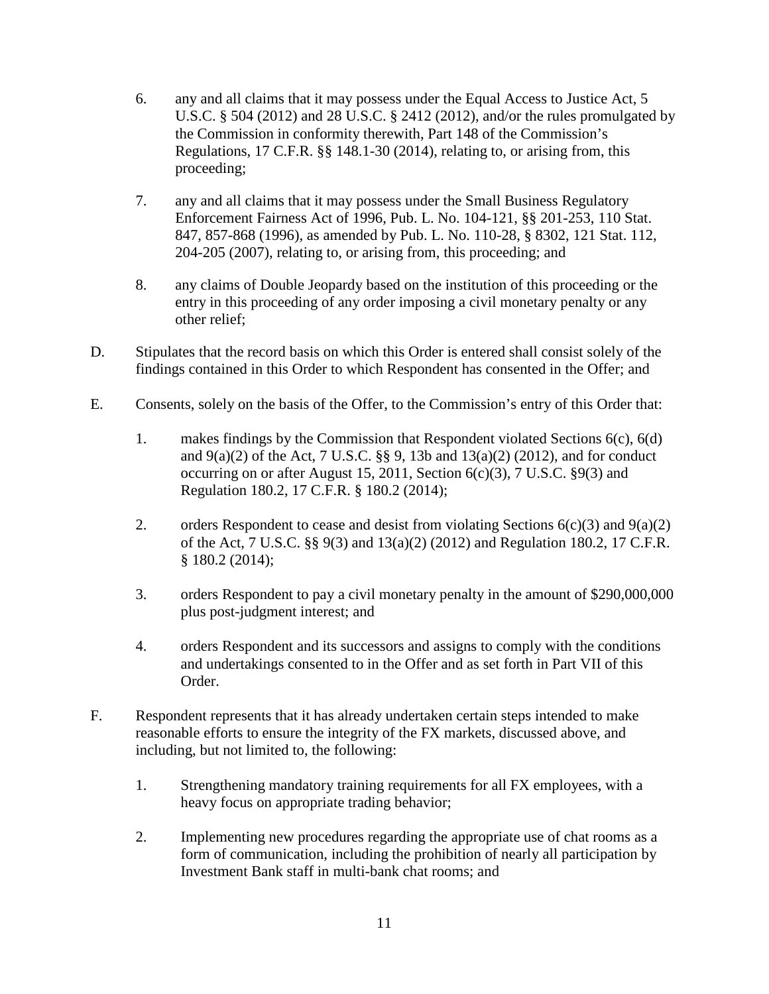- 6. any and all claims that it may possess under the Equal Access to Justice Act, 5 U.S.C. § 504 (2012) and 28 U.S.C. § 2412 (2012), and/or the rules promulgated by the Commission in conformity therewith, Part 148 of the Commission's Regulations, 17 C.F.R. §§ 148.1-30 (2014), relating to, or arising from, this proceeding;
- 7. any and all claims that it may possess under the Small Business Regulatory Enforcement Fairness Act of 1996, Pub. L. No. 104-121, §§ 201-253, 110 Stat. 847, 857-868 (1996), as amended by Pub. L. No. 110-28, § 8302, 121 Stat. 112, 204-205 (2007), relating to, or arising from, this proceeding; and
- 8. any claims of Double Jeopardy based on the institution of this proceeding or the entry in this proceeding of any order imposing a civil monetary penalty or any other relief;
- D. Stipulates that the record basis on which this Order is entered shall consist solely of the findings contained in this Order to which Respondent has consented in the Offer; and
- E. Consents, solely on the basis of the Offer, to the Commission's entry of this Order that:
	- 1. makes findings by the Commission that Respondent violated Sections 6(c), 6(d) and  $9(a)(2)$  of the Act, 7 U.S.C. §§ 9, 13b and 13(a)(2) (2012), and for conduct occurring on or after August 15, 2011, Section  $6(c)(3)$ , 7 U.S.C.  $\S 9(3)$  and Regulation 180.2, 17 C.F.R. § 180.2 (2014);
	- 2. orders Respondent to cease and desist from violating Sections  $6(c)(3)$  and  $9(a)(2)$ of the Act, 7 U.S.C. §§ 9(3) and 13(a)(2) (2012) and Regulation 180.2, 17 C.F.R. § 180.2 (2014);
	- 3. orders Respondent to pay a civil monetary penalty in the amount of \$290,000,000 plus post-judgment interest; and
	- 4. orders Respondent and its successors and assigns to comply with the conditions and undertakings consented to in the Offer and as set forth in Part VII of this Order.
- F. Respondent represents that it has already undertaken certain steps intended to make reasonable efforts to ensure the integrity of the FX markets, discussed above, and including, but not limited to, the following:
	- 1. Strengthening mandatory training requirements for all FX employees, with a heavy focus on appropriate trading behavior;
	- 2. Implementing new procedures regarding the appropriate use of chat rooms as a form of communication, including the prohibition of nearly all participation by Investment Bank staff in multi-bank chat rooms; and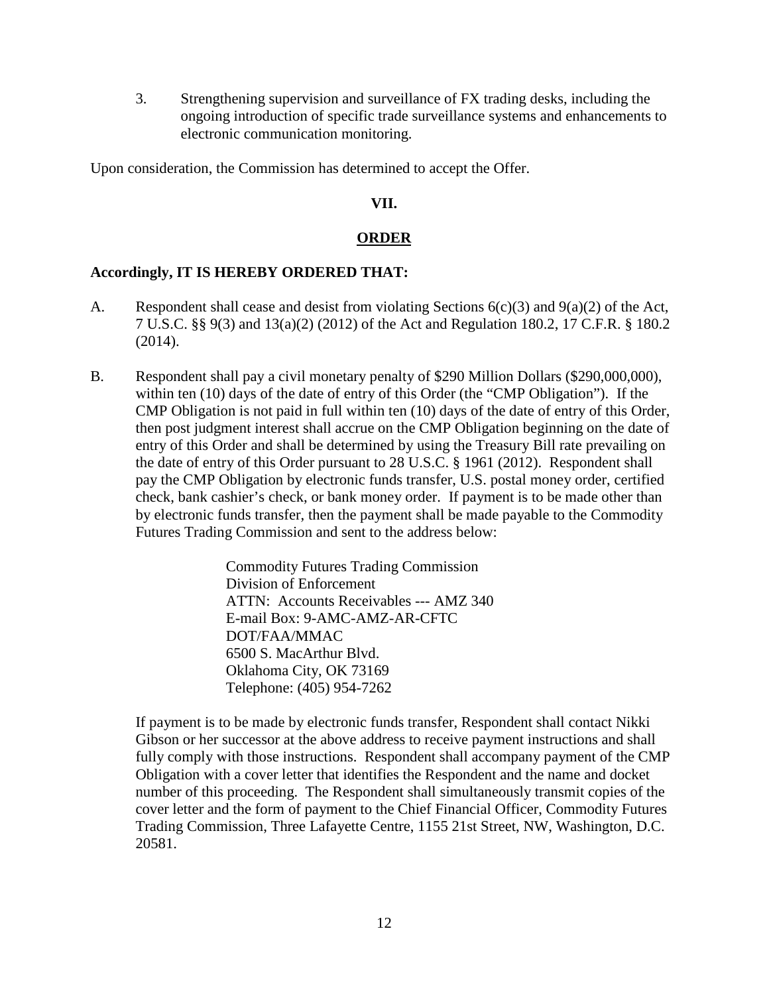3. Strengthening supervision and surveillance of FX trading desks, including the ongoing introduction of specific trade surveillance systems and enhancements to electronic communication monitoring.

Upon consideration, the Commission has determined to accept the Offer.

# **VII.**

# **ORDER**

# **Accordingly, IT IS HEREBY ORDERED THAT:**

- A. Respondent shall cease and desist from violating Sections  $6(c)(3)$  and  $9(a)(2)$  of the Act, 7 U.S.C. §§ 9(3) and 13(a)(2) (2012) of the Act and Regulation 180.2, 17 C.F.R. § 180.2 (2014).
- B. Respondent shall pay a civil monetary penalty of \$290 Million Dollars (\$290,000,000), within ten (10) days of the date of entry of this Order (the "CMP Obligation"). If the CMP Obligation is not paid in full within ten (10) days of the date of entry of this Order, then post judgment interest shall accrue on the CMP Obligation beginning on the date of entry of this Order and shall be determined by using the Treasury Bill rate prevailing on the date of entry of this Order pursuant to 28 U.S.C. § 1961 (2012). Respondent shall pay the CMP Obligation by electronic funds transfer, U.S. postal money order, certified check, bank cashier's check, or bank money order. If payment is to be made other than by electronic funds transfer, then the payment shall be made payable to the Commodity Futures Trading Commission and sent to the address below:

Commodity Futures Trading Commission Division of Enforcement ATTN: Accounts Receivables --- AMZ 340 E-mail Box: 9-AMC-AMZ-AR-CFTC DOT/FAA/MMAC 6500 S. MacArthur Blvd. Oklahoma City, OK 73169 Telephone: (405) 954-7262

If payment is to be made by electronic funds transfer, Respondent shall contact Nikki Gibson or her successor at the above address to receive payment instructions and shall fully comply with those instructions. Respondent shall accompany payment of the CMP Obligation with a cover letter that identifies the Respondent and the name and docket number of this proceeding. The Respondent shall simultaneously transmit copies of the cover letter and the form of payment to the Chief Financial Officer, Commodity Futures Trading Commission, Three Lafayette Centre, 1155 21st Street, NW, Washington, D.C. 20581.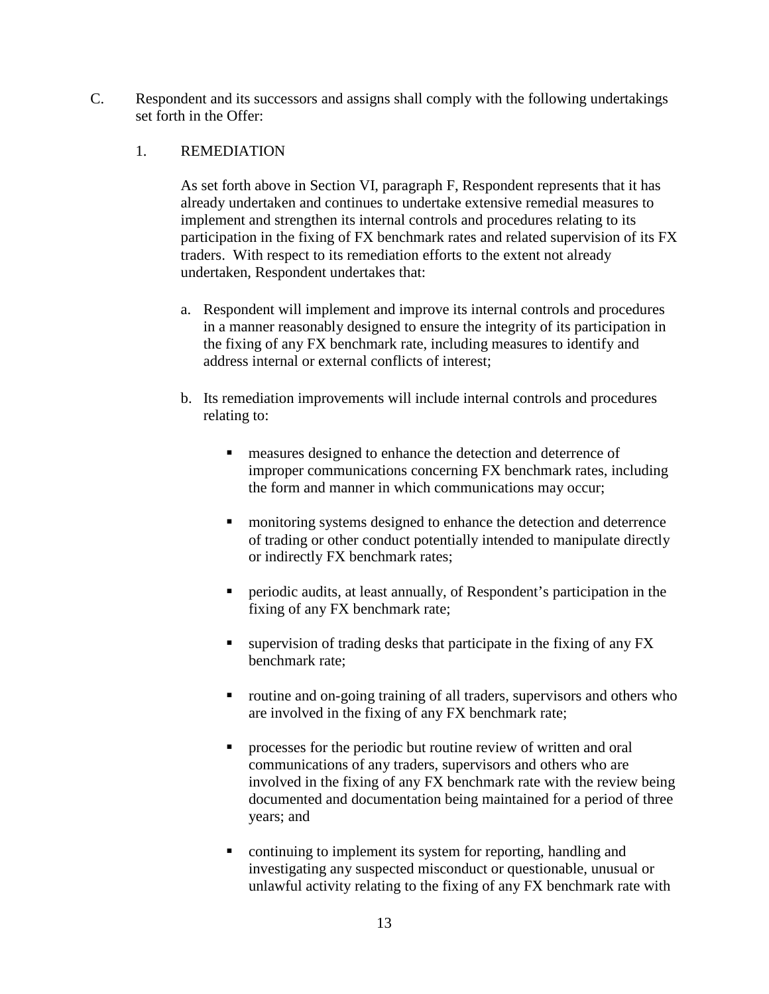C. Respondent and its successors and assigns shall comply with the following undertakings set forth in the Offer:

## 1. REMEDIATION

As set forth above in Section VI, paragraph F, Respondent represents that it has already undertaken and continues to undertake extensive remedial measures to implement and strengthen its internal controls and procedures relating to its participation in the fixing of FX benchmark rates and related supervision of its FX traders. With respect to its remediation efforts to the extent not already undertaken, Respondent undertakes that:

- a. Respondent will implement and improve its internal controls and procedures in a manner reasonably designed to ensure the integrity of its participation in the fixing of any FX benchmark rate, including measures to identify and address internal or external conflicts of interest;
- b. Its remediation improvements will include internal controls and procedures relating to:
	- **EXECUTE:** measures designed to enhance the detection and deterrence of improper communications concerning FX benchmark rates, including the form and manner in which communications may occur;
	- **n** monitoring systems designed to enhance the detection and deterrence of trading or other conduct potentially intended to manipulate directly or indirectly FX benchmark rates;
	- periodic audits, at least annually, of Respondent's participation in the fixing of any FX benchmark rate;
	- $\blacksquare$  supervision of trading desks that participate in the fixing of any FX benchmark rate;
	- routine and on-going training of all traders, supervisors and others who are involved in the fixing of any FX benchmark rate;
	- **PEDIE:** processes for the periodic but routine review of written and oral communications of any traders, supervisors and others who are involved in the fixing of any FX benchmark rate with the review being documented and documentation being maintained for a period of three years; and
	- continuing to implement its system for reporting, handling and investigating any suspected misconduct or questionable, unusual or unlawful activity relating to the fixing of any FX benchmark rate with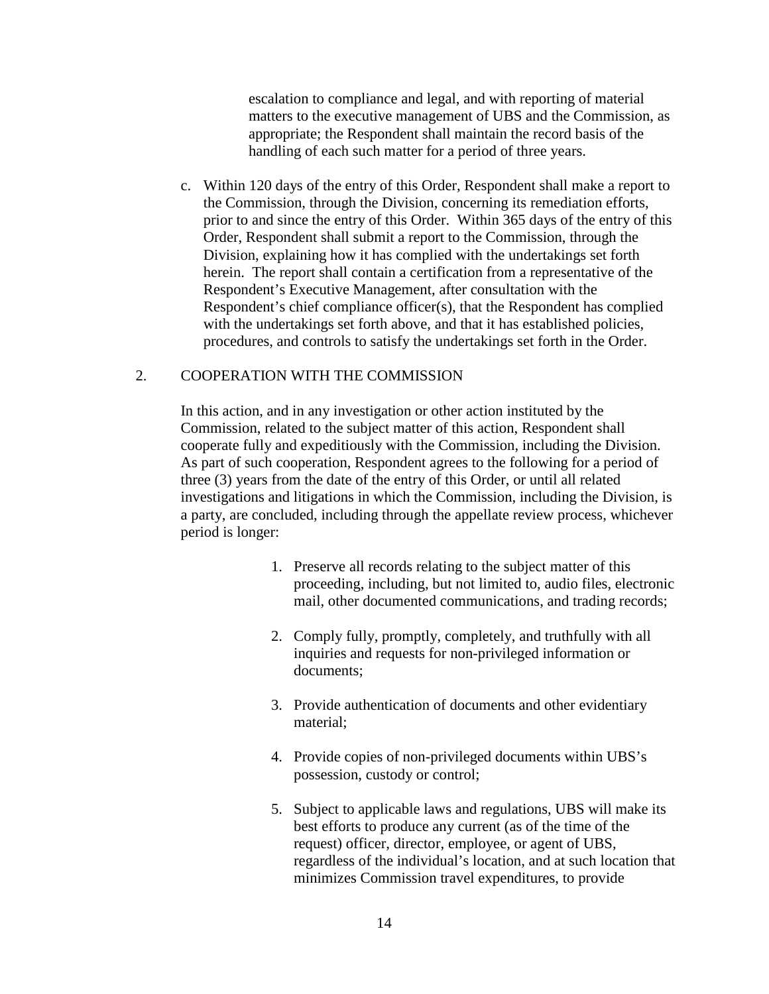escalation to compliance and legal, and with reporting of material matters to the executive management of UBS and the Commission, as appropriate; the Respondent shall maintain the record basis of the handling of each such matter for a period of three years.

c. Within 120 days of the entry of this Order, Respondent shall make a report to the Commission, through the Division, concerning its remediation efforts, prior to and since the entry of this Order. Within 365 days of the entry of this Order, Respondent shall submit a report to the Commission, through the Division, explaining how it has complied with the undertakings set forth herein. The report shall contain a certification from a representative of the Respondent's Executive Management, after consultation with the Respondent's chief compliance officer(s), that the Respondent has complied with the undertakings set forth above, and that it has established policies, procedures, and controls to satisfy the undertakings set forth in the Order.

# 2. COOPERATION WITH THE COMMISSION

In this action, and in any investigation or other action instituted by the Commission, related to the subject matter of this action, Respondent shall cooperate fully and expeditiously with the Commission, including the Division. As part of such cooperation, Respondent agrees to the following for a period of three (3) years from the date of the entry of this Order, or until all related investigations and litigations in which the Commission, including the Division, is a party, are concluded, including through the appellate review process, whichever period is longer:

- 1. Preserve all records relating to the subject matter of this proceeding, including, but not limited to, audio files, electronic mail, other documented communications, and trading records;
- 2. Comply fully, promptly, completely, and truthfully with all inquiries and requests for non-privileged information or documents;
- 3. Provide authentication of documents and other evidentiary material;
- 4. Provide copies of non-privileged documents within UBS's possession, custody or control;
- 5. Subject to applicable laws and regulations, UBS will make its best efforts to produce any current (as of the time of the request) officer, director, employee, or agent of UBS, regardless of the individual's location, and at such location that minimizes Commission travel expenditures, to provide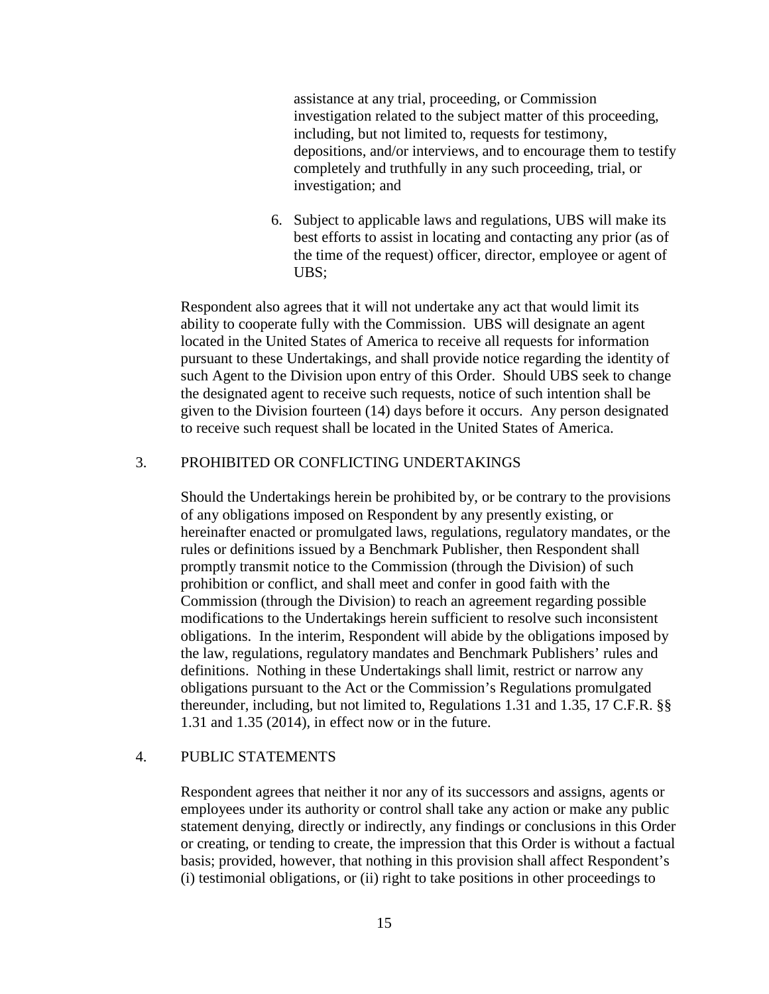assistance at any trial, proceeding, or Commission investigation related to the subject matter of this proceeding, including, but not limited to, requests for testimony, depositions, and/or interviews, and to encourage them to testify completely and truthfully in any such proceeding, trial, or investigation; and

6. Subject to applicable laws and regulations, UBS will make its best efforts to assist in locating and contacting any prior (as of the time of the request) officer, director, employee or agent of UBS;

Respondent also agrees that it will not undertake any act that would limit its ability to cooperate fully with the Commission. UBS will designate an agent located in the United States of America to receive all requests for information pursuant to these Undertakings, and shall provide notice regarding the identity of such Agent to the Division upon entry of this Order. Should UBS seek to change the designated agent to receive such requests, notice of such intention shall be given to the Division fourteen (14) days before it occurs. Any person designated to receive such request shall be located in the United States of America.

## 3. PROHIBITED OR CONFLICTING UNDERTAKINGS

Should the Undertakings herein be prohibited by, or be contrary to the provisions of any obligations imposed on Respondent by any presently existing, or hereinafter enacted or promulgated laws, regulations, regulatory mandates, or the rules or definitions issued by a Benchmark Publisher, then Respondent shall promptly transmit notice to the Commission (through the Division) of such prohibition or conflict, and shall meet and confer in good faith with the Commission (through the Division) to reach an agreement regarding possible modifications to the Undertakings herein sufficient to resolve such inconsistent obligations. In the interim, Respondent will abide by the obligations imposed by the law, regulations, regulatory mandates and Benchmark Publishers' rules and definitions. Nothing in these Undertakings shall limit, restrict or narrow any obligations pursuant to the Act or the Commission's Regulations promulgated thereunder, including, but not limited to, Regulations 1.31 and 1.35, 17 C.F.R. §§ 1.31 and 1.35 (2014), in effect now or in the future.

## 4. PUBLIC STATEMENTS

Respondent agrees that neither it nor any of its successors and assigns, agents or employees under its authority or control shall take any action or make any public statement denying, directly or indirectly, any findings or conclusions in this Order or creating, or tending to create, the impression that this Order is without a factual basis; provided, however, that nothing in this provision shall affect Respondent's (i) testimonial obligations, or (ii) right to take positions in other proceedings to